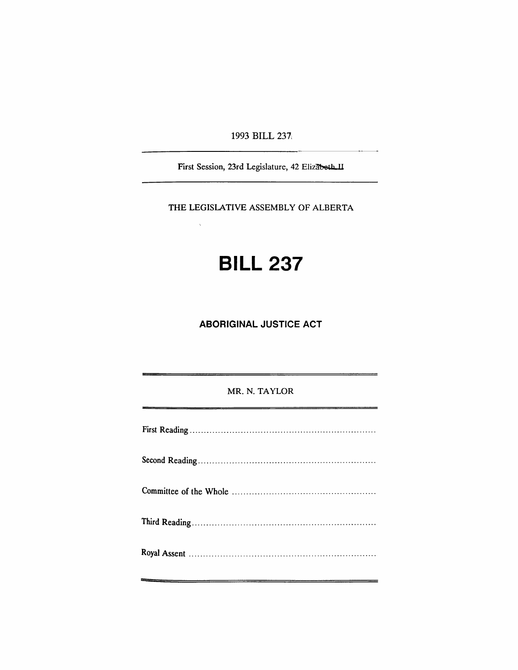1993 BILL 237;

First Session, 23rd Legislature, 42 Elizabeth II

THE LEGISLATIVE ASSEMBLY OF ALBERTA

 $\bar{\lambda}$ 

# **BILL 237**

**ABORIGINAL JUSTICE ACT**

MR. N. TAYLOR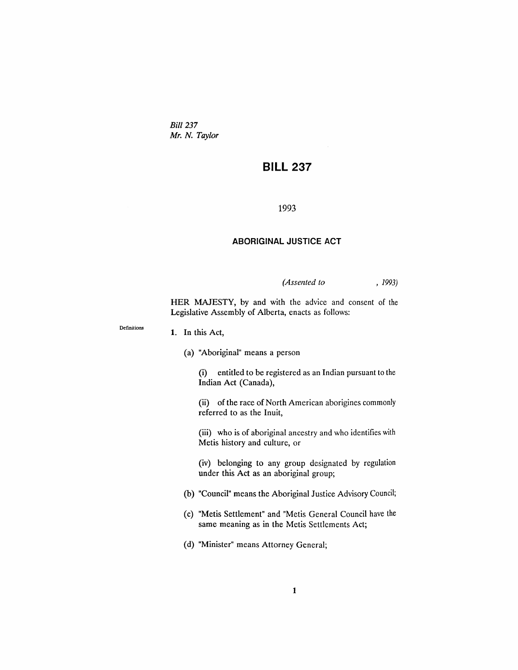*Bill 237 Mr. N. Taylor*

# **BILL 237**

## 1993

# **ABORIGINAL JUSTICE ACT**

*(Assented to* , 1993)

HER MAJESTY, by and with the advice and consent of the Legislative Assembly of Alberta, enacts as follows:

#### **1. In** this Act,

Definitions

(a) "Aboriginal" means a person

(i) entitled to be registered as an Indian pursuant to the Indian Act (Canada),

(ii) of the race of North American aborigines commonly referred to as the Inuit,

(iii) who is of aboriginal ancestry and who identifies with Metis history and culture, or

(iv) belonging to any group designated by regulation under this Act as an aboriginal group;

- (b) "Council" means the Aboriginal Justice Advisory Council;
- (c) "Metis Settlement" and "Metis General Council have the same meaning as in the Metis Settlements Act;
- (d) "Minister" means Attorney General;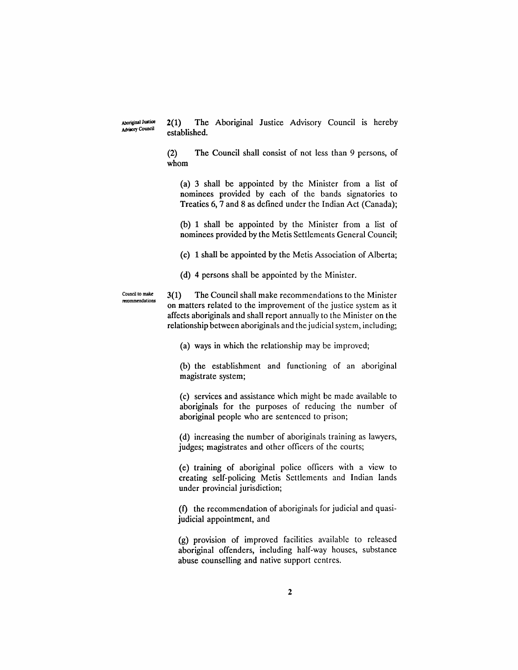Aboriginal Justice **Advisory Council** 

2(1) The Aboriginal Justice Advisory Council is hereby established.

(2) The Council shall consist of not less than 9 persons, of whom

(a) 3 shall be appointed by the Minister from a list of nominees provided by each of the bands signatories to Treaties 6, 7 and 8 as defined under the Indian Act (Canada);

(b) 1 shall be appointed by the Minister from a list of nominees provided by the Metis Settlements General Council;

(c) 1 shall be appointed by the Metis Association of Alberta;

(d) 4 persons shall be appointed by the Minister.

Council to make reoommendalions 3(1) The Council shall make recommendations to the Minister on matters related to the improvement of the justice system as it affects aboriginals and shall report annually to the Minister on the relationship between aboriginals and the judicial system, including;

(a) ways in which the relationship may be improved;

(b) the establishment and functioning of an aboriginal magistrate system;

(c) services and assistance which might be made available to aboriginals for the purposes of reducing the number of aboriginal people who are sentenced to prison;

(d) increasing the number of aboriginals training as lawyers, judges; magistrates and other officers of the courts;

(e) training of aboriginal police officers with a view to creating self-policing Metis Settlements and Indian lands under provincial jurisdiction;

(f) the recommendation of aboriginals for judicial and quasijudicial appointment, and

(g) provision of improved facilities available to released aboriginal offenders, induding half-way houses, substance abuse counselling and native support centres.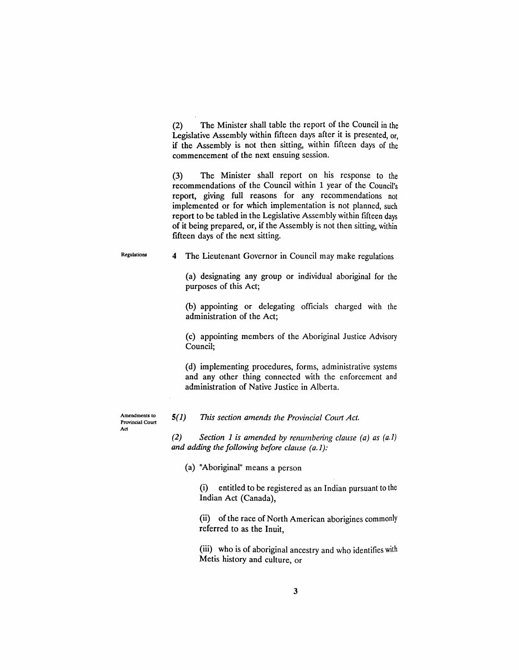(2) The Minister shall table the report of the Council in the Legislative Assembly within fifteen days after it is presented, or, if the Assembly is not then sitting, within fifteen days of the commencement of the next ensuing session.

(3) The Minister shall report on his response to the recommendations of the Council within 1 year of the Council's report, giving full reasons for any recommendations not implemented or for which implementation is not planned, such report to be tabled in the Legislative Assembly within fifteen days of it being prepared, or, if the Assembly is not then sitting, within fifteen days of the next sitting.

Regulations

4 The Lieutenant Governor in Council may make regulations

(a) designating any group or individual aboriginal for the purposes of this Act;

(b) appointing or delegating officials charged with the administration of the Act;

(c) appointing members of the Aboriginal Justice Advisory Council;

(d) implementing procedures, forms, administrative systems and any other thing connected with the enforcement and administration of Native Justice in Alberta.

Amendments to Provincial Court Act

## 5(1) *This section amends the Provincial Court Act.*

*(2) Section* 1 *is amended by renumbering clause (a) as (a.1) and adding the following before clause (a.* 1):

(a) "Aboriginal" means a person

(i) entitled to be registered as an Indian pursuant to the Indian Act (Canada),

(ii) of the race of North American aborigines commonly referred to as the Inuit,

(iii) who is of aboriginal ancestry and who identifies with Metis history and culture, or

3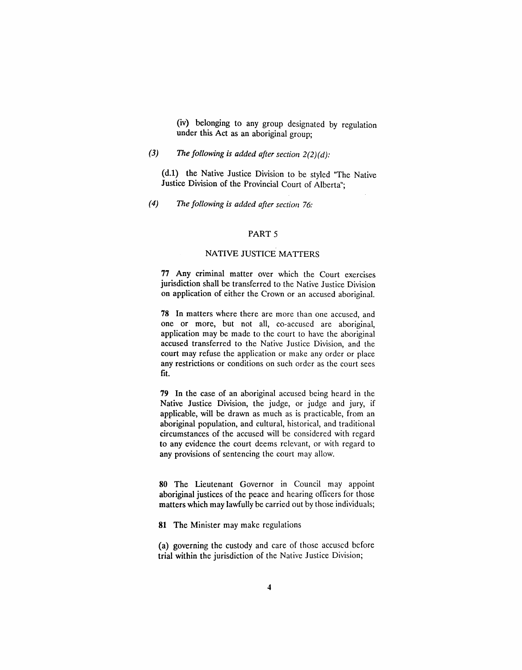(iv) belonging to any group designated by regulation under this Act as an aboriginal group;

# *(3) The following is added after section 2(2)(d):*

(d.l) the Native Justice Division to be styled "The Native Justice Division of the Provincial Court of Alberta";

*(4) The following is added after section 76:*

## PART 5

#### NATIVE JUSTICE MATIERS

77 Any criminal matter over which the Court exercises jurisdiction shall be transferred to the Native Justice Division on application of either the Crown or an accused aboriginal.

78 In matters where there are more than one accused, and one or more, but not all, co-accused are aboriginal, application may be made to the court to have the aboriginal accused transferred to the Native Justice Division, and the court may refuse the application or make any order or place any restrictions or conditions on such order as the court sees fit.

79 In the case of an aboriginal accused being heard in the Native Justice Division, the judge, or judge and jury, if applicable, will be drawn as much as is practicable, from an aboriginal population, and cultural, historical, and traditional circumstances of the accused will be considered with regard to any evidence the court deems relevant, or with regard to any provisions of sentencing the court may allow.

80 The Lieutenant Governor in Council may appoint aboriginal justices of the peace and hearing officers for those matters which may lawfully be carried out by those individuals;

81 The Minister may make regulations

(a) governing the custody and care of those accused before trial within the jurisdiction of the Native Justice Division;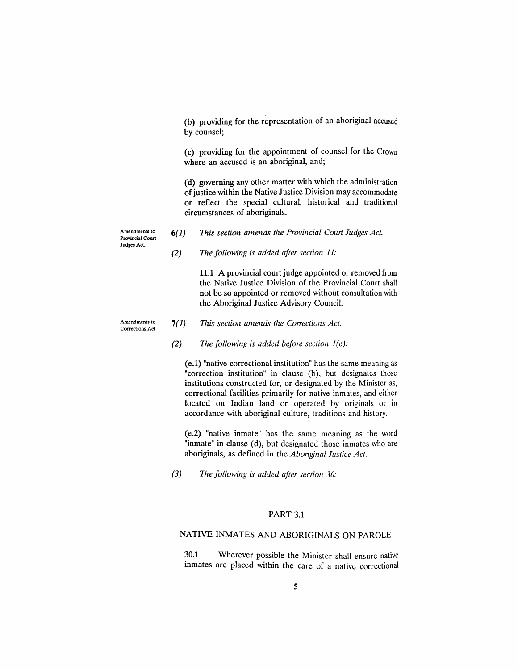(b) providing for the representation of an aboriginal accused by counsel;

(c) providing for the appointment of counsel for the Crown where an accused is an aboriginal, and;

(d) governing any other matter with which the administration of justice within the Native Justice Division may accommodate or reflect the special cultural, historical and traditional circumstances of aboriginals.

Amendments to Provincial Court Judges Act.

- 6(1) *This section amends the Provincial COllrt Judges Act.*
- *(2) The following is added after section 11:*

11.1 A provincial court judge appointed or removed from the Native Justice Division of the Provincial Court shall not be so appointed or removed without consultation with the Aboriginal Justice Advisory Council.

Amendments to Corrections Act

#### 7(1) *This section amends the Corrections Act.*

*(2) The following is added before section l(e):*

(e.1) "native correctional institution" has the same meaning as "correction institution" in clause (b), but designates those institutions constructed for, or designated by the Minister as, correctional facilities primarily for native inmates, and either located on Indian land or operated by originals or in accordance with aboriginal culture, traditions and history.

(e.2) "native inmate" has the same meaning as the word "inmate" in clause (d), but designated those inmates who are aboriginals, as defined in the *Aboriginal Justice Act.*

*(3) The following is added after section 30:*

# PART 3.1

# NATIVE INMATES AND ABORIGINALS ON PAROLE

30.1 Wherever possible the Minister shall ensure native inmates are placed within the care of a native correctional